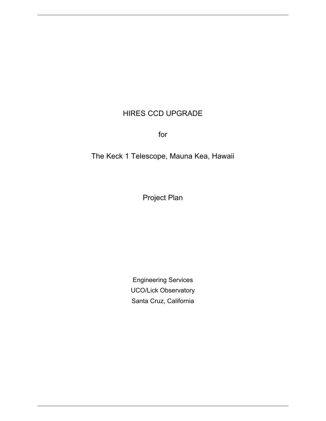# HIRES CCD UPGRADE

for

The Keck 1 Telescope, Mauna Kea, Hawaii

Project Plan

Engineering Services UCO/Lick Observatory Santa Cruz, California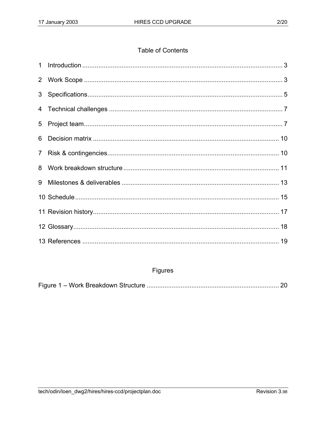# **Table of Contents**

| 3 <sup>1</sup> |  |
|----------------|--|
|                |  |
| 5              |  |
| 6              |  |
| 7 <sup>1</sup> |  |
| 8              |  |
| 9              |  |
|                |  |
|                |  |
|                |  |
|                |  |

# Figures

|--|--|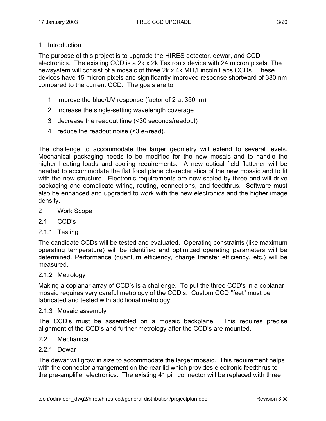# 1 Introduction

The purpose of this project is to upgrade the HIRES detector, dewar, and CCD electronics. The existing CCD is a 2k x 2k Textronix device with 24 micron pixels. The newsystem will consist of a mosaic of three 2k x 4k MIT/Lincoln Labs CCDs. These devices have 15 micron pixels and significantly improved response shortward of 380 nm compared to the current CCD. The goals are to

- 1 improve the blue/UV response (factor of 2 at 350nm)
- 2 increase the single-setting wavelength coverage
- 3 decrease the readout time (<30 seconds/readout)
- 4 reduce the readout noise (<3 e-/read).

The challenge to accommodate the larger geometry will extend to several levels. Mechanical packaging needs to be modified for the new mosaic and to handle the higher heating loads and cooling requirements. A new optical field flattener will be needed to accommodate the flat focal plane characteristics of the new mosaic and to fit with the new structure. Electronic requirements are now scaled by three and will drive packaging and complicate wiring, routing, connections, and feedthrus. Software must also be enhanced and upgraded to work with the new electronics and the higher image density.

- 2 Work Scope
- 2.1 CCD's
- 2.1.1 Testing

The candidate CCDs will be tested and evaluated. Operating constraints (like maximum operating temperature) will be identified and optimized operating parameters will be determined. Performance (quantum efficiency, charge transfer efficiency, etc.) will be measured.

### 2.1.2 Metrology

Making a coplanar array of CCD's is a challenge. To put the three CCD's in a coplanar mosaic requires very careful metrology of the CCD's. Custom CCD "feet" must be fabricated and tested with additional metrology.

#### 2.1.3 Mosaic assembly

The CCD's must be assembled on a mosaic backplane. This requires precise alignment of the CCD's and further metrology after the CCD's are mounted.

#### 2.2 Mechanical

### 2.2.1 Dewar

The dewar will grow in size to accommodate the larger mosaic. This requirement helps with the connector arrangement on the rear lid which provides electronic feedthrus to the pre-amplifier electronics. The existing 41 pin connector will be replaced with three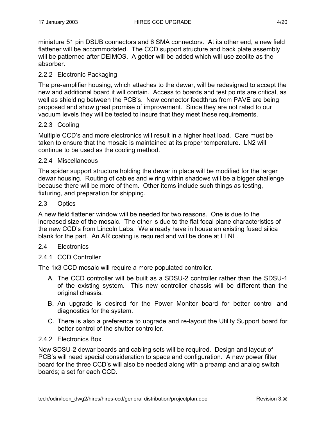miniature 51 pin DSUB connectors and 6 SMA connectors. At its other end, a new field flattener will be accommodated. The CCD support structure and back plate assembly will be patterned after DEIMOS. A getter will be added which will use zeolite as the absorber.

# 2.2.2 Electronic Packaging

The pre-amplifier housing, which attaches to the dewar, will be redesigned to accept the new and additional board it will contain. Access to boards and test points are critical, as well as shielding between the PCB's. New connector feedthrus from PAVE are being proposed and show great promise of improvement. Since they are not rated to our vacuum levels they will be tested to insure that they meet these requirements.

# 2.2.3 Cooling

Multiple CCD's and more electronics will result in a higher heat load. Care must be taken to ensure that the mosaic is maintained at its proper temperature. LN2 will continue to be used as the cooling method.

### 2.2.4 Miscellaneous

The spider support structure holding the dewar in place will be modified for the larger dewar housing. Routing of cables and wiring within shadows will be a bigger challenge because there will be more of them. Other items include such things as testing, fixturing, and preparation for shipping.

#### 2.3 Optics

A new field flattener window will be needed for two reasons. One is due to the increased size of the mosaic. The other is due to the flat focal plane characteristics of the new CCD's from Lincoln Labs. We already have in house an existing fused silica blank for the part. An AR coating is required and will be done at LLNL.

#### 2.4 Electronics

### 2.4.1 CCD Controller

The 1x3 CCD mosaic will require a more populated controller.

- A. The CCD controller will be built as a SDSU-2 controller rather than the SDSU-1 of the existing system. This new controller chassis will be different than the original chassis.
- B. An upgrade is desired for the Power Monitor board for better control and diagnostics for the system.
- C. There is also a preference to upgrade and re-layout the Utility Support board for better control of the shutter controller.

### 2.4.2 Electronics Box

New SDSU-2 dewar boards and cabling sets will be required. Design and layout of PCB's will need special consideration to space and configuration. A new power filter board for the three CCD's will also be needed along with a preamp and analog switch boards; a set for each CCD.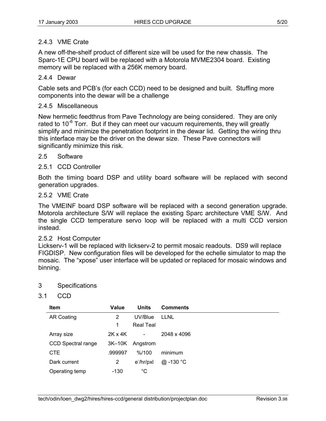# 2.4.3 VME Crate

A new off-the-shelf product of different size will be used for the new chassis. The Sparc-1E CPU board will be replaced with a Motorola MVME2304 board. Existing memory will be replaced with a 256K memory board.

# 2.4.4 Dewar

Cable sets and PCB's (for each CCD) need to be designed and built. Stuffing more components into the dewar will be a challenge

# 2.4.5 Miscellaneous

New hermetic feedthrus from Pave Technology are being considered. They are only rated to  $10^{-6}$  Torr. But if they can meet our vacuum requirements, they will greatly simplify and minimize the penetration footprint in the dewar lid. Getting the wiring thru this interface may be the driver on the dewar size. These Pave connectors will significantly minimize this risk.

# 2.5 Software

# 2.5.1 CCD Controller

Both the timing board DSP and utility board software will be replaced with second generation upgrades.

### 2.5.2 VME Crate

The VMEINF board DSP software will be replaced with a second generation upgrade. Motorola architecture S/W will replace the existing Sparc architecture VME S/W. And the single CCD temperature servo loop will be replaced with a multi CCD version instead.

### 2.5.2 Host Computer

Lickserv-1 will be replaced with lickserv-2 to permit mosaic readouts. DS9 will replace FIGDISP. New configuration files will be developed for the echelle simulator to map the mosaic. The "xpose" user interface will be updated or replaced for mosaic windows and binning.

### 3 Specifications

3.1 CCD

| <b>Item</b>               | Value          | <b>Units</b>     | <b>Comments</b> |
|---------------------------|----------------|------------------|-----------------|
| <b>AR Coating</b>         | 2              | UV/Blue          | <b>LLNL</b>     |
|                           | 1              | <b>Real Teal</b> |                 |
| Array size                | $2K \times 4K$ | $\blacksquare$   | 2048 x 4096     |
| <b>CCD Spectral range</b> | $3K-10K$       | Angstrom         |                 |
| CTE                       | .999997        | % / 100          | minimum         |
| Dark current              | $\mathbf{2}$   | e /hr/pxl        | @ $-130 °C$     |
| Operating temp            | -130           | °C               |                 |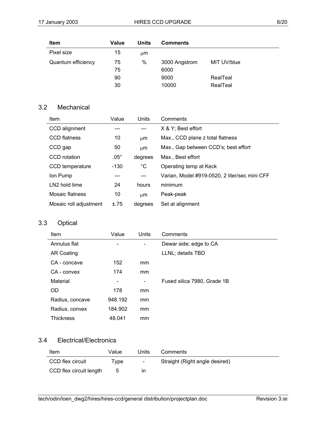| <b>Item</b>        | Value | Units | <b>Comments</b> |             |
|--------------------|-------|-------|-----------------|-------------|
| Pixel size         | 15    | ււm   |                 |             |
| Quantum efficiency | 75    | $\%$  | 3000 Angstrom   | MIT UV/blue |
|                    | 75    |       | 6000            |             |
|                    | 90    |       | 9000            | RealTeal    |
|                    | 30    |       | 10000           | RealTeal    |

# 3.2 Mechanical

| <b>Item</b>               | Value         | Units       | Comments                                      |
|---------------------------|---------------|-------------|-----------------------------------------------|
| CCD alignment             |               |             | X & Y; Best effort                            |
| <b>CCD flatness</b>       | 10            | μm          | Max., CCD plane z total flatness              |
| CCD gap                   | 50            | μm          | Max., Gap between CCD's; best effort          |
| CCD rotation              | $.05^{\circ}$ | degrees     | Max., Best effort                             |
| CCD temperature           | $-130$        | $^{\circ}C$ | Operating temp at Keck                        |
| Ion Pump                  |               |             | Varian, Model #919-0520, 2 liter/sec mini CFF |
| LN <sub>2</sub> hold time | 24            | hours       | minimum                                       |
| Mosaic flatness           | 10            | μm          | Peak-peak                                     |
| Mosaic roll adjustment    | ±.75          | degrees     | Set at alignment                              |

# 3.3 Optical

| Item              | Value                        | Units                        | Comments                    |
|-------------------|------------------------------|------------------------------|-----------------------------|
| Annulus flat      | $\qquad \qquad \blacksquare$ | $\qquad \qquad \blacksquare$ | Dewar side; edge to CA      |
| <b>AR Coating</b> |                              |                              | LLNL; details TBD           |
| CA - concave      | 152                          | mm                           |                             |
| CA - convex       | 174                          | mm                           |                             |
| Material          | $\qquad \qquad$              | $\qquad \qquad \blacksquare$ | Fused silica 7980, Grade 1B |
| <b>OD</b>         | 178                          | mm                           |                             |
| Radius, concave   | 948.192                      | mm                           |                             |
| Radius, convex    | 184.902                      | mm                           |                             |
| <b>Thickness</b>  | 48.041                       | mm                           |                             |

# 3.4 Electrical/Electronics

| Item                    | Value | Units  | Comments                       |
|-------------------------|-------|--------|--------------------------------|
| CCD flex circuit        | Tvpe  | $\sim$ | Straight (Right angle desired) |
| CCD flex circuit length | ა     | ın     |                                |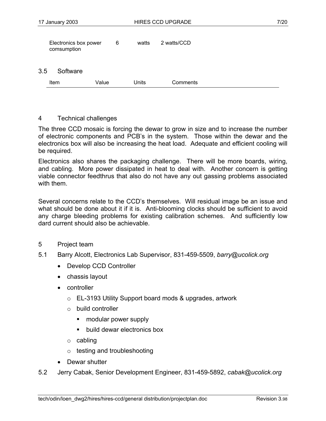|     | Electronics box power<br>comsumption | 6     | watts | 2 watts/CCD |  |
|-----|--------------------------------------|-------|-------|-------------|--|
| 3.5 | Software                             |       |       |             |  |
|     | <b>Item</b>                          | Value | Units | Comments    |  |
|     |                                      |       |       |             |  |

#### 4 Technical challenges

The three CCD mosaic is forcing the dewar to grow in size and to increase the number of electronic components and PCB's in the system. Those within the dewar and the electronics box will also be increasing the heat load. Adequate and efficient cooling will be required.

Electronics also shares the packaging challenge. There will be more boards, wiring, and cabling. More power dissipated in heat to deal with. Another concern is getting viable connector feedthrus that also do not have any out gassing problems associated with them.

Several concerns relate to the CCD's themselves. Will residual image be an issue and what should be done about it if it is. Anti-blooming clocks should be sufficient to avoid any charge bleeding problems for existing calibration schemes. And sufficiently low dard current should also be achievable.

#### 5 Project team

- 5.1 Barry Alcott, Electronics Lab Supervisor, 831-459-5509, *barry@ucolick.org*
	- Develop CCD Controller
	- chassis layout
	- controller
		- o EL-3193 Utility Support board mods & upgrades, artwork
		- o build controller
			- modular power supply
			- **build dewar electronics box**
		- o cabling
		- o testing and troubleshooting
	- Dewar shutter
- 5.2 Jerry Cabak, Senior Development Engineer, 831-459-5892, *cabak@ucolick.org*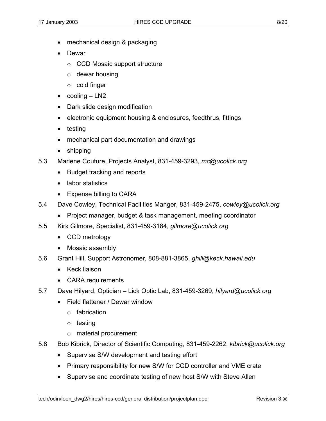- mechanical design & packaging
- Dewar
	- o CCD Mosaic support structure
	- $\circ$  dewar housing
	- o cold finger
- $\bullet$  cooling  $-$  LN2
- Dark slide design modification
- electronic equipment housing & enclosures, feedthrus, fittings
- testing
- mechanical part documentation and drawings
- shipping
- 5.3 Marlene Couture, Projects Analyst, 831-459-3293, *mc@ucolick.org*
	- Budget tracking and reports
	- labor statistics
	- Expense billing to CARA
- 5.4 Dave Cowley, Technical Facilities Manger, 831-459-2475, *cowley@ucolick.org*
	- Project manager, budget & task management, meeting coordinator
- 5.5 Kirk Gilmore, Specialist, 831-459-3184, *gilmore@ucolick.org*
	- CCD metrology
	- Mosaic assembly
- 5.6 Grant Hill, Support Astronomer, 808-881-3865, *ghill@keck.hawaii.edu*
	- Keck liaison
	- CARA requirements
- 5.7 Dave Hilyard, Optician Lick Optic Lab, 831-459-3269, *hilyard@ucolick.org*
	- Field flattener / Dewar window
		- o fabrication
		- o testing
		- o material procurement
- 5.8 Bob Kibrick, Director of Scientific Computing, 831-459-2262, *kibrick@ucolick.org*
	- Supervise S/W development and testing effort
	- Primary responsibility for new S/W for CCD controller and VME crate
	- Supervise and coordinate testing of new host S/W with Steve Allen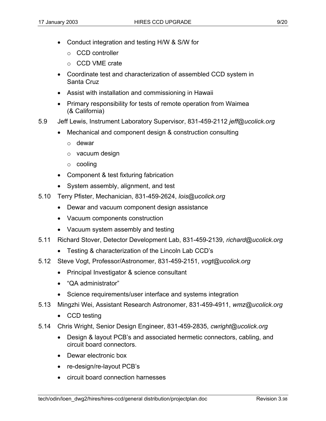- Conduct integration and testing H/W & S/W for
	- o CCD controller
	- o CCD VME crate
- Coordinate test and characterization of assembled CCD system in Santa Cruz
- Assist with installation and commissioning in Hawaii
- Primary responsibility for tests of remote operation from Waimea (& California)
- 5.9 Jeff Lewis, Instrument Laboratory Supervisor, 831-459-2112 *jeff@ucolick.org*
	- Mechanical and component design & construction consulting
		- o dewar
		- o vacuum design
		- o cooling
	- Component & test fixturing fabrication
	- System assembly, alignment, and test
- 5.10 Terry Pfister, Mechanician, 831-459-2624, *lois@ucolick.org* 
	- Dewar and vacuum component design assistance
	- Vacuum components construction
	- Vacuum system assembly and testing
- 5.11 Richard Stover, Detector Development Lab, 831-459-2139, *richard@ucolick.org*
	- Testing & characterization of the Lincoln Lab CCD's
- 5.12 Steve Vogt, Professor/Astronomer, 831-459-2151, *vogt@ucolick.org*
	- Principal Investigator & science consultant
	- "QA administrator"
	- Science requirements/user interface and systems integration
- 5.13 Mingzhi Wei, Assistant Research Astronomer, 831-459-4911, *wmz@ucolick.org*
	- CCD testing
- 5.14 Chris Wright, Senior Design Engineer, 831-459-2835, *cwright@ucolick.org*
	- Design & layout PCB's and associated hermetic connectors, cabling, and circuit board connectors.
	- Dewar electronic box
	- re-design/re-layout PCB's
	- circuit board connection harnesses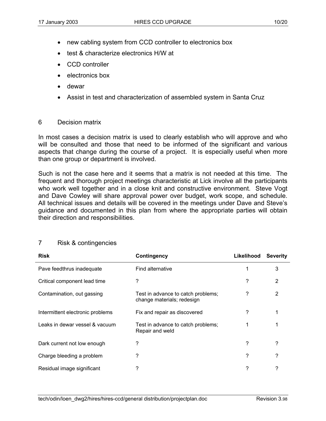- new cabling system from CCD controller to electronics box
- test & characterize electronics H/W at
- CCD controller
- electronics box
- dewar
- Assist in test and characterization of assembled system in Santa Cruz

### 6 Decision matrix

In most cases a decision matrix is used to clearly establish who will approve and who will be consulted and those that need to be informed of the significant and various aspects that change during the course of a project. It is especially useful when more than one group or department is involved.

Such is not the case here and it seems that a matrix is not needed at this time. The frequent and thorough project meetings characteristic at Lick involve all the participants who work well together and in a close knit and constructive environment. Steve Vogt and Dave Cowley will share approval power over budget, work scope, and schedule. All technical issues and details will be covered in the meetings under Dave and Steve's guidance and documented in this plan from where the appropriate parties will obtain their direction and responsibilities.

| <b>Risk</b>                      | <b>Contingency</b>                                               | Likelihood | <b>Severity</b> |
|----------------------------------|------------------------------------------------------------------|------------|-----------------|
| Pave feedthrus inadequate        | Find alternative                                                 | 1          | 3               |
| Critical component lead time     | ?                                                                | ?          | 2               |
| Contamination, out gassing       | Test in advance to catch problems;<br>change materials; redesign | ?          | 2               |
| Intermittent electronic problems | Fix and repair as discovered                                     | ?          |                 |
| Leaks in dewar vessel & vacuum   | Test in advance to catch problems;<br>Repair and weld            |            |                 |
| Dark current not low enough      | ?                                                                | ?          | ?               |
| Charge bleeding a problem        | ?                                                                | ?          | ?               |
| Residual image significant       | ?                                                                | ?          | ?               |

### 7 Risk & contingencies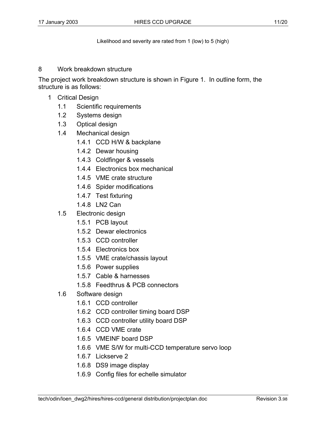Likelihood and severity are rated from 1 (low) to 5 (high)

#### 8 Work breakdown structure

The project work breakdown structure is shown in Figure 1. In outline form, the structure is as follows:

- 1 Critical Design
	- 1.1 Scientific requirements
	- 1.2 Systems design
	- 1.3 Optical design
	- 1.4 Mechanical design
		- 1.4.1 CCD H/W & backplane
		- 1.4.2 Dewar housing
		- 1.4.3 Coldfinger & vessels
		- 1.4.4 Electronics box mechanical
		- 1.4.5 VME crate structure
		- 1.4.6 Spider modifications
		- 1.4.7 Test fixturing
		- 1.4.8 LN2 Can
	- 1.5 Electronic design
		- 1.5.1 PCB layout
		- 1.5.2 Dewar electronics
		- 1.5.3 CCD controller
		- 1.5.4 Electronics box
		- 1.5.5 VME crate/chassis layout
		- 1.5.6 Power supplies
		- 1.5.7 Cable & harnesses
		- 1.5.8 Feedthrus & PCB connectors
	- 1.6 Software design
		- 1.6.1 CCD controller
		- 1.6.2 CCD controller timing board DSP
		- 1.6.3 CCD controller utility board DSP
		- 1.6.4 CCD VME crate
		- 1.6.5 VMEINF board DSP
		- 1.6.6 VME S/W for multi-CCD temperature servo loop
		- 1.6.7 Lickserve 2
		- 1.6.8 DS9 image display
		- 1.6.9 Config files for echelle simulator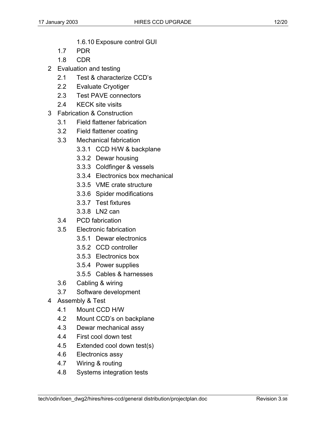- 1.6.10 Exposure control GUI
- 1.7 PDR
- 1.8 CDR
- 2 Evaluation and testing
	- 2.1 Test & characterize CCD's
	- 2.2 Evaluate Cryotiger
	- 2.3 Test PAVE connectors
	- 2.4 KECK site visits
- 3 Fabrication & Construction
	- 3.1 Field flattener fabrication
	- 3.2 Field flattener coating
	- 3.3 Mechanical fabrication
		- 3.3.1 CCD H/W & backplane
		- 3.3.2 Dewar housing
		- 3.3.3 Coldfinger & vessels
		- 3.3.4 Electronics box mechanical
		- 3.3.5 VME crate structure
		- 3.3.6 Spider modifications
		- 3.3.7 Test fixtures
		- 3.3.8 LN2 can
	- 3.4 PCD fabrication
	- 3.5 Electronic fabrication
		- 3.5.1 Dewar electronics
		- 3.5.2 CCD controller
		- 3.5.3 Electronics box
		- 3.5.4 Power supplies
		- 3.5.5 Cables & harnesses
	- 3.6 Cabling & wiring
	- 3.7 Software development
- 4 Assembly & Test
	- 4.1 Mount CCD H/W
	- 4.2 Mount CCD's on backplane
	- 4.3 Dewar mechanical assy
	- 4.4 First cool down test
	- 4.5 Extended cool down test(s)
	- 4.6 Electronics assy
	- 4.7 Wiring & routing
	- 4.8 Systems integration tests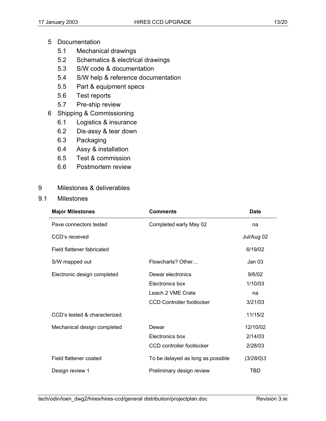- 5 Documentation
	- 5.1 Mechanical drawings
	- 5.2 Schematics & electrical drawings
	- 5.3 S/W code & documentation
	- 5.4 S/W help & reference documentation
	- 5.5 Part & equipment specs
	- 5.6 Test reports
	- 5.7 Pre-ship review
- 6 Shipping & Commissioning
	- 6.1 Logistics & insurance
	- 6.2 Dis-assy & tear down
	- 6.3 Packaging
	- 6.4 Assy & installation
	- 6.5 Test & commission
	- 6.6 Postmortem review

# 9 Milestones & deliverables

9.1 Milestones

| <b>Major Milestones</b>      | <b>Comments</b>                   | Date              |
|------------------------------|-----------------------------------|-------------------|
| Pave connectors tested       | Completed early May 02            | na                |
| CCD's received               |                                   | Jul/Aug 02        |
| Field flattener fabricated   |                                   | 6/19/02           |
| S/W mapped out               | Flowcharts? Other                 | Jan <sub>03</sub> |
| Electronic design completed  | Dewar electronics                 | 9/6/02            |
|                              | Electronics box                   | 1/10/03           |
|                              | Leach 2 VME Crate                 | na                |
|                              | CCD Controller footlocker         | 3/21/03           |
| CCD's tested & characterized |                                   | 11/15/2           |
| Mechanical design completed  | Dewar                             | 12/10/02          |
|                              | Electronics box                   | 2/14/03           |
|                              | CCD controller footlocker         | 2/28/03           |
| Field flattener coated       | To be delayed as long as possible | (3/28/0)3         |
| Design review 1              | Preliminary design review         | TBD               |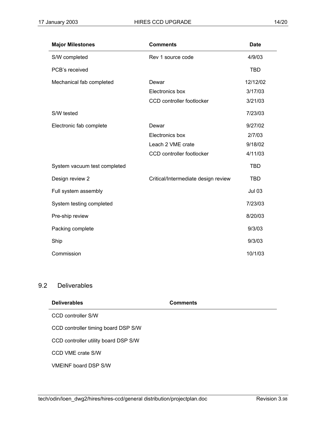| <b>Major Milestones</b>      | <b>Comments</b>                     | <b>Date</b>   |
|------------------------------|-------------------------------------|---------------|
| S/W completed                | Rev 1 source code                   | 4/9/03        |
| PCB's received               |                                     | <b>TBD</b>    |
| Mechanical fab completed     | Dewar                               | 12/12/02      |
|                              | Electronics box                     | 3/17/03       |
|                              | CCD controller footlocker           | 3/21/03       |
| S/W tested                   |                                     | 7/23/03       |
| Electronic fab complete      | Dewar                               | 9/27/02       |
|                              | Electronics box                     | 2/7/03        |
|                              | Leach 2 VME crate                   | 9/18/02       |
|                              | CCD controller footlocker           | 4/11/03       |
| System vacuum test completed |                                     | <b>TBD</b>    |
| Design review 2              | Critical/Intermediate design review | <b>TBD</b>    |
| Full system assembly         |                                     | <b>Jul 03</b> |
| System testing completed     |                                     | 7/23/03       |
| Pre-ship review              |                                     | 8/20/03       |
| Packing complete             |                                     | 9/3/03        |
| Ship                         |                                     | 9/3/03        |
| Commission                   |                                     | 10/1/03       |

## 9.2 Deliverables

| <b>Deliverables</b>                  | <b>Comments</b> |
|--------------------------------------|-----------------|
| CCD controller S/W                   |                 |
| CCD controller timing board DSP S/W  |                 |
| CCD controller utility board DSP S/W |                 |
| CCD VME crate S/W                    |                 |
| <b>VMEINF board DSP S/W</b>          |                 |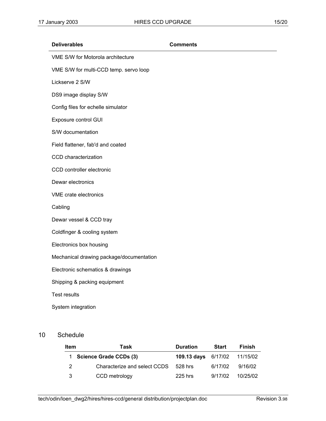| VME S/W for Motorola architecture<br>VME S/W for multi-CCD temp. servo loop<br>Lickserve 2 S/W<br>DS9 image display S/W |
|-------------------------------------------------------------------------------------------------------------------------|
|                                                                                                                         |
|                                                                                                                         |
|                                                                                                                         |
|                                                                                                                         |
| Config files for echelle simulator                                                                                      |
| Exposure control GUI                                                                                                    |
| S/W documentation                                                                                                       |
| Field flattener, fab'd and coated                                                                                       |
| CCD characterization                                                                                                    |
| CCD controller electronic                                                                                               |
| Dewar electronics                                                                                                       |
| VME crate electronics                                                                                                   |
| Cabling                                                                                                                 |
| Dewar vessel & CCD tray                                                                                                 |
| Coldfinger & cooling system                                                                                             |
| Electronics box housing                                                                                                 |
| Mechanical drawing package/documentation                                                                                |
| Electronic schematics & drawings                                                                                        |
| Shipping & packing equipment                                                                                            |
| <b>Test results</b>                                                                                                     |
| System integration                                                                                                      |

# 10 Schedule

| Item | Task                          | <b>Duration</b>                     | <b>Start</b> | Finish   |
|------|-------------------------------|-------------------------------------|--------------|----------|
| 1.   | <b>Science Grade CCDs (3)</b> | <b>109.13 days</b> 6/17/02 11/15/02 |              |          |
| 2    | Characterize and select CCDS  | 528 hrs                             | 6/17/02      | 9/16/02  |
| 3    | CCD metrology                 | 225 hrs                             | 9/17/02      | 10/25/02 |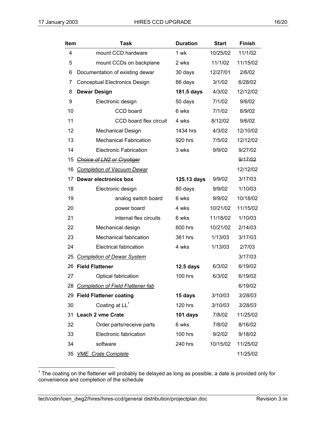| Item | <b>Task</b>                          | <b>Duration</b> | <b>Start</b> | <b>Finish</b> |
|------|--------------------------------------|-----------------|--------------|---------------|
| 4    | mount CCD hardware                   | 1 wk            | 10/25/02     | 11/1/02       |
| 5    | mount CCDs on backplane              | 2 wks           | 11/1/02      | 11/15/02      |
| 6    | Documentation of existing dewar      | 30 days         | 12/27/01     | 2/6/02        |
| 7    | Conceptual Electronics Design        | 86 days         | 3/1/02       | 6/28/02       |
| 8    | <b>Dewar Design</b>                  | 181.5 days      | 4/3/02       | 12/12/02      |
| 9    | Electronic design                    | 50 days         | 7/1/02       | 9/6/02        |
| 10   | CCD board                            | 6 wks           | 7/1/02       | 8/9/02        |
| 11   | CCD board flex circuit               | 4 wks           | 8/12/02      | 9/6/02        |
| 12   | <b>Mechanical Design</b>             | 1434 hrs        | 4/3/02       | 12/10/02      |
| 13   | <b>Mechanical Fabrication</b>        | 920 hrs         | 7/5/02       | 12/12/02      |
| 14   | <b>Electronic Fabrication</b>        | 3 wks           | 9/9/02       | 9/27/02       |
| 15   | Choice of LN2 or Cryotiger           |                 |              | 9/17/02       |
| 16   | <b>Completion of Vacuum Dewar</b>    |                 |              | 12/12/02      |
| 17   | <b>Dewar electronics box</b>         | 125.13 days     | 9/9/02       | 3/17/03       |
| 18   | Electronic design                    | 80 days         | 9/9/02       | 1/10/03       |
| 19   | analog switch board                  | 6 wks           | 9/9/02       | 10/18/02      |
| 20   | power board                          | 4 wks           | 10/21/02     | 11/15/02      |
| 21   | internal flex circuits               | 6 wks           | 11/18/02     | 1/10/03       |
| 22   | Mechanical design                    | 600 hrs         | 10/21/02     | 2/14/03       |
| 23   | <b>Mechanical fabrication</b>        | 361 hrs         | 1/13/03      | 3/17/03       |
| 24   | Electrical fabrication               | 4 wks           | 1/13/03      | 2/7/03        |
| 25   | <b>Completion of Dewar System</b>    |                 |              | 3/17/03       |
|      | 26 Field Flattener                   | 12.5 days       | 6/3/02       | 6/19/02       |
| 27   | Optical fabrication                  | 100 hrs         | 6/3/02       | 6/19/02       |
|      | 28 Completion of Field Flattener fab |                 |              | 6/19/02       |
|      | 29 Field Flattener coating           | 15 days         | 3/10/03      | 3/28/03       |
| 30   | Coating at $LL^1$                    | <b>120 hrs</b>  | 3/10/03      | 3/28/03       |
|      | 31 Leach 2 vme Crate                 | 101 days        | 7/8/02       | 11/25/02      |
| 32   | Order parts/receive parts            | 6 wks           | 7/8/02       | 8/16/02       |
| 33   | Electronic fabrication               | $100$ hrs       | 9/2/02       | 9/18/02       |
| 34   | software                             | 240 hrs         | 10/15/02     | 11/25/02      |
|      | 35 VME Crate Complete                |                 |              | 11/25/02      |

<sup>————————————————————&</sup>lt;br><sup>1</sup> The coating on the flattener will probably be delayed as long as possible, a date is provided only for convenience and completion of the schedule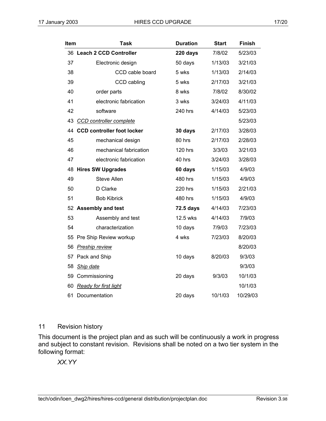| Item | <b>Task</b>                       | <b>Duration</b> | <b>Start</b> | <b>Finish</b> |
|------|-----------------------------------|-----------------|--------------|---------------|
|      | 36 Leach 2 CCD Controller         | 220 days        | 7/8/02       | 5/23/03       |
| 37   | Electronic design                 | 50 days         | 1/13/03      | 3/21/03       |
| 38   | CCD cable board                   | 5 wks           | 1/13/03      | 2/14/03       |
| 39   | CCD cabling                       | 5 wks           | 2/17/03      | 3/21/03       |
| 40   | order parts                       | 8 wks           | 7/8/02       | 8/30/02       |
| 41   | electronic fabrication            | 3 wks           | 3/24/03      | 4/11/03       |
| 42   | software                          | 240 hrs         | 4/14/03      | 5/23/03       |
| 43   | <b>CCD</b> controller complete    |                 |              | 5/23/03       |
| 44   | <b>CCD controller foot locker</b> | 30 days         | 2/17/03      | 3/28/03       |
| 45   | mechanical design                 | 80 hrs          | 2/17/03      | 2/28/03       |
| 46   | mechanical fabrication            | 120 hrs         | 3/3/03       | 3/21/03       |
| 47   | electronic fabrication            | 40 hrs          | 3/24/03      | 3/28/03       |
| 48   | <b>Hires SW Upgrades</b>          | 60 days         | 1/15/03      | 4/9/03        |
| 49   | <b>Steve Allen</b>                | 480 hrs         | 1/15/03      | 4/9/03        |
| 50   | D Clarke                          | 220 hrs         | 1/15/03      | 2/21/03       |
| 51   | <b>Bob Kibrick</b>                | 480 hrs         | 1/15/03      | 4/9/03        |
|      | 52 Assembly and test              | 72.5 days       | 4/14/03      | 7/23/03       |
| 53   | Assembly and test                 | 12.5 wks        | 4/14/03      | 7/9/03        |
| 54   | characterization                  | 10 days         | 7/9/03       | 7/23/03       |
| 55   | Pre Ship Review workup            | 4 wks           | 7/23/03      | 8/20/03       |
| 56   | <b>Preship review</b>             |                 |              | 8/20/03       |
|      | 57 Pack and Ship                  | 10 days         | 8/20/03      | 9/3/03        |
| 58   | <b>Ship date</b>                  |                 |              | 9/3/03        |
| 59   | Commissioning                     | 20 days         | 9/3/03       | 10/1/03       |
| 60   | <b>Ready for first light</b>      |                 |              | 10/1/03       |
| 61   | Documentation                     | 20 days         | 10/1/03      | 10/29/03      |

#### 11 Revision history

This document is the project plan and as such will be continuously a work in progress and subject to constant revision. Revisions shall be noted on a two tier system in the following format:

*XX.YY*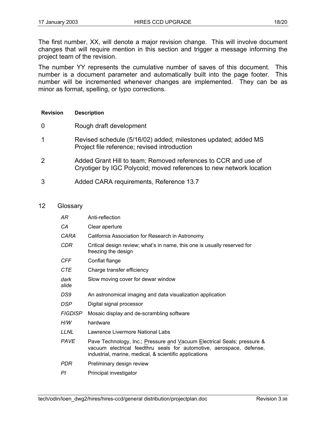The first number, XX, will denote a major revision change. This will involve document changes that will require mention in this section and trigger a message informing the project team of the revision.

The number YY represents the cumulative number of saves of this document. This number is a document parameter and automatically built into the page footer. This number will be incremented whenever changes are implemented. They can be as minor as format, spelling, or typo corrections.

#### **Revision Description**

- 0 Rough draft development
- 1 Revised schedule (5/16/02) added; milestones updated; added MS Project file reference; revised introduction
- 2 Added Grant Hill to team; Removed references to CCR and use of Cryotiger by IGC Polycold; moved references to new network location
- 3 Added CARA requirements, Reference 13.7

#### 12 Glossary

| AR             | Anti-reflection                                                                                                                                                                                           |
|----------------|-----------------------------------------------------------------------------------------------------------------------------------------------------------------------------------------------------------|
| CА             | Clear aperture                                                                                                                                                                                            |
| CARA           | California Association for Research in Astronomy                                                                                                                                                          |
| CDR            | Critical design review; what's in name, this one is usually reserved for<br>freezing the design                                                                                                           |
| CFF            | Conflat flange                                                                                                                                                                                            |
| CTE            | Charge transfer efficiency                                                                                                                                                                                |
| dark<br>slide  | Slow moving cover for dewar window                                                                                                                                                                        |
| DS9            | An astronomical imaging and data visualization application                                                                                                                                                |
| DSP            | Digital signal processor                                                                                                                                                                                  |
| <b>FIGDISP</b> | Mosaic display and de-scrambling software                                                                                                                                                                 |
| H/W            | hardware                                                                                                                                                                                                  |
| LLNL           | Lawrence Livermore National Labs                                                                                                                                                                          |
| <b>PAVE</b>    | Pave Technology, Inc.; Pressure and Vacuum Electrical Seals; pressure &<br>vacuum electrical feedthru seals for automotive, aerospace, defense,<br>industrial, marine, medical, & scientific applications |
| PDR            | Preliminary design review                                                                                                                                                                                 |
| PI             | Principal investigator                                                                                                                                                                                    |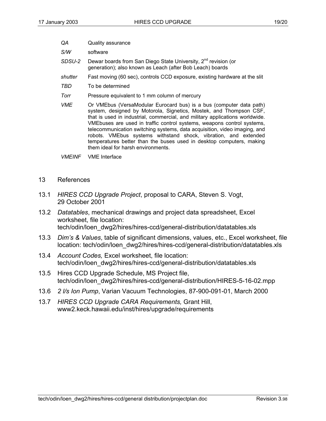- *QA* Quality assurance
- *S/W* software
- SDSU-2 Dewar boards from San Diego State University, 2<sup>nd</sup> revision (or generation); also known as Leach (after Bob Leach) boards
- *shutter* Fast moving (60 sec), controls CCD exposure, existing hardware at the slit
- *TBD* To be determined
- *Torr* Pressure equivalent to 1 mm column of mercury
- *VME* Or VMEbus (VersaModular Eurocard bus) is a bus (computer data path) system, designed by Motorola, Signetics, Mostek, and Thompson CSF, that is used in industrial, commercial, and military applications worldwide. VMEbuses are used in traffic control systems, weapons control systems, telecommunication switching systems, data acquisition, video imaging, and robots. VMEbus systems withstand shock, vibration, and extended temperatures better than the buses used in desktop computers, making them ideal for harsh environments.
- *VMEINF* VME Interface
- 13 References
- 13.1 *HIRES CCD Upgrade Project*, proposal to CARA, Steven S. Vogt, 29 October 2001
- 13.2 *Datatables*, mechanical drawings and project data spreadsheet, Excel worksheet, file location: tech/odin/loen\_dwg2/hires/hires-ccd/general-distribution/datatables.xls
- 13.3 *Dim's & Values*, table of significant dimensions, values, etc., Excel worksheet, file location: tech/odin/loen\_dwg2/hires/hires-ccd/general-distribution/datatables.xls
- 13.4 *Account Codes,* Excel worksheet, file location: tech/odin/loen\_dwg2/hires/hires-ccd/general-distribution/datatables.xls
- 13.5 Hires CCD Upgrade Schedule, MS Project file, tech/odin/loen\_dwg2/hires/hires-ccd/general-distribution/HIRES-5-16-02.mpp
- 13.6 *2 l/s Ion Pump*, Varian Vacuum Technologies, 87-900-091-01, March 2000
- 13.7 *HIRES CCD Upgrade CARA Requirements,* Grant Hill, www2.keck.hawaii.edu/inst/hires/upgrade/requirements